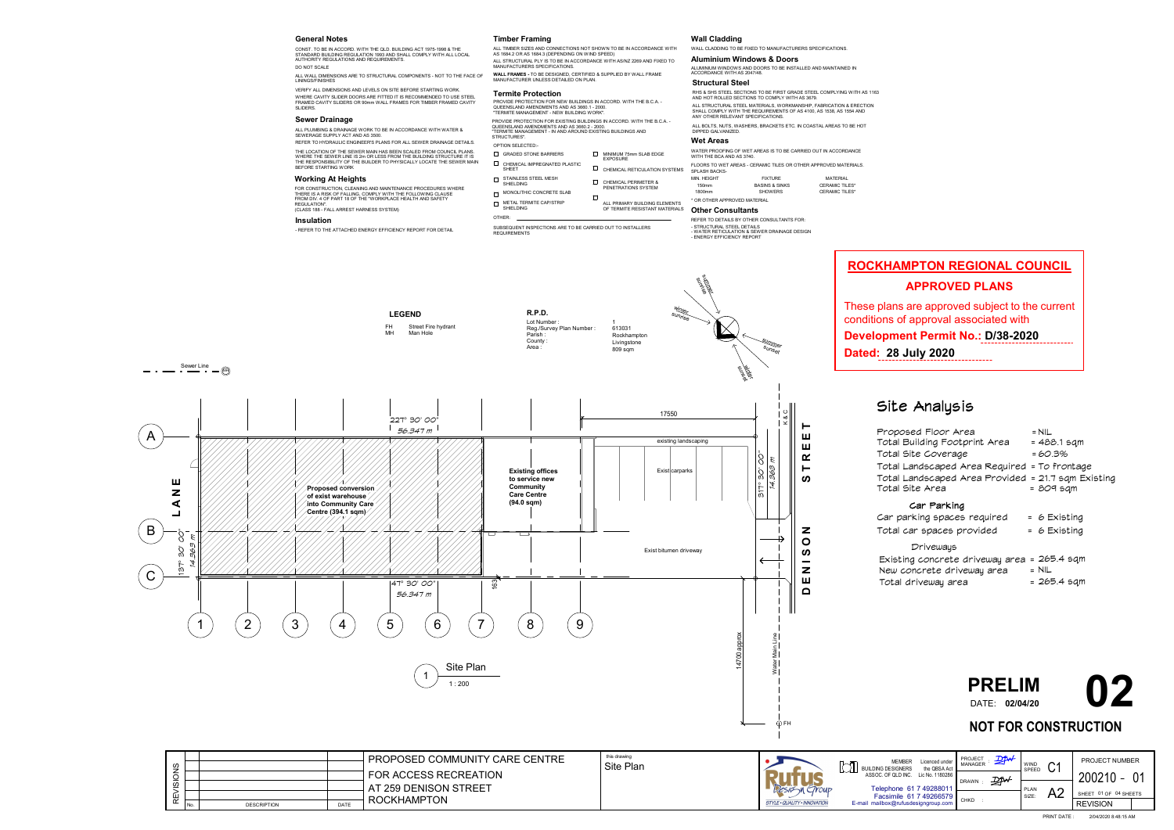

### Site Analysis

| Proposed Floor Area<br>Total Building Footprint Area<br>Total Site Coverage<br>Total Landscaped Area Required = To frontage<br>Total Landscaped Area Provided = 21.7 sqm Existing<br>Total Site Area | = NIL.<br>= 488.1 sqm<br>= 60.3%<br>= 809 sam |
|------------------------------------------------------------------------------------------------------------------------------------------------------------------------------------------------------|-----------------------------------------------|
| Car Parking<br>Car parking spaces required<br>Total car spaces provided                                                                                                                              | $= 6$ Existing<br>= 6 Existing                |
| Driveways<br>Existing concrete driveway area = 265.4 sqm<br>New concrete driveway area<br>Total driveway area                                                                                        | $=$ NIL<br>= 265.4 sqm                        |

- GRADED STONE BARRIERS MINIMUM 75mm SLAB EDGE EXPOSURE  $\Box$  CHEMICAL IMPREGNATED PLASTIC  $\Box$  CHEMICAL RETICULATION SYSTEMS SHEET STAINLESS STEEL MESH SHIELDING CHEMICAL PERIMETER & PENETRATIONS SYSTEM MONOLITHIC CONCRETE SLAB  $\Box$
- METAL TERMITE CAP/STRIP SHIELDING

#### **General Notes**

ALL WALL DIMENSIONS ARE TO STRUCTURAL COMPONENTS - NOT TO THE FACE OF LININGS/FINISHES

CONST. TO BE IN ACCORD. WITH THE QLD. BUILDING ACT 1975-1998 & THE STANDARD BUILDING REGULATION 1993 AND SHALL COMPLY WITH ALL LOCAL AUTHORITY REGULATIONS AND REQUIREMENTS. DO NOT SCALE

REFER TO HYDRAULIC ENGINEER'S PLANS FOR ALL SEWER DRAINAGE DETAILS. THE LOCATION OF THE SEWER MAIN HAS BEEN SCALED FROM COUNCIL PLANS. WHERE THE SEWER LINE IS 2m OR LESS FROM THE BUILDING STRUCTURE IT IS THE RESPONSIBILITY OF THE BUILDER TO PHYSICALLY LOCATE THE SEWER MAIN BEFORE STARTING WORK

FLOORS TO WET AREAS - CERAMIC TILES OR OTHER APPROVED MATERIALS. SPLASH BACKS-MIN. HEIGHT FIXTURE MATERIAL

150mm BASINS & SINKS CERAMIC TILES\* 1800mm SHOWERS CERAMIC TILES\*

#### **Termite Protection**

OTHER:

PROVIDE PROTECTION FOR NEW BUILDINGS IN ACCORD. WITH THE B.C.A. - QUEENSLAND AMENDMENTS AND AS 3660.1 - 2000. "TERMITE MANAGEMENT - NEW BUILDING WORK".

SUBSEQUENT INSPECTIONS ARE TO BE CARRIED OUT TO INSTALLERS REQUIREMENTS

#### **Timber Framing**

**WALL FRAMES -** TO BE DESIGNED, CERTIFIED & SUPPLIED BY WALL FRAME MANUFACTURER UNLESS DETAILED ON PLAN.

VERIFY ALL DIMENSIONS AND LEVELS ON SITE BEFORE STARTING WORK.

#### **Wall Cladding**

**Dated: 28 July 2020**. . . . . . . . . . .

WALL CLADDING TO BE FIXED TO MANUFACTURERS SPECIFICATIONS.

**Aluminium Windows & Doors**

ALUMINIUM WINDOWS AND DOORS TO BE INSTALLED AND MAINTAINED IN

ACCORDANCE WITH AS 2047/48. **Structural Steel**

RHS & SHS STEEL SECTIONS TO BE FIRST GRADE STEEL COMPLYING WITH AS 1163

ALL PRIMARY BUILDING ELEMENTS OF TERMITE RESISTANT MATERIALS \* OR OTHER APPROVED MATERIAL

AND HOT ROLLED SECTIONS TO COMPLY WITH AS 3679.

ALL BOLTS, NUTS, WASHERS, BRACKETS ETC. IN COASTAL AREAS TO BE HOT

DIPPED GALVANIZED.

ALL TIMBER SIZES AND CONNECTIONS NOT SHOWN TO BE IN ACCORDANCE WITH AS 1684.2 OR AS 1684.3 (DEPENDING ON WIND SPEED) ALL STRUCTURAL PLY IS TO BE IN ACCORDANCE WITH AS/NZ 2269 AND FIXED TO MANUFACTURERS SPECIFICATIONS.

> ALL STRUCTURAL STEEL MATERIALS, WORKMANSHIP, FABRICATION & ERECTION SHALL COMPLY WITH THE REQUIREMENTS OF AS 4100, AS 1538, AS 1554 AND

OPTION SELECTED:- **Sewer Drainage PROVIDE PROVIDE PROTECTION FOR EXISTING BUILDINGS IN ACCORD. WITH THE B.C.A. -**QUEENSLAND AMENDMENTS AND AS 3660.2 - 2000. "TERMITE MANAGEMENT - IN AND AROUND EXISTING BUILDINGS AND STRUCTURES".

ANY OTHER RELEVANT SPECIFICATIONS.

WHERE CAVITY SLIDER DOORS ARE FITTED IT IS RECOMMENDED TO USE STEEL FRAMED CAVITY SLIDERS OR 90mm WALL FRAMES FOR TIMBER FRAMED CAVITY SLIDERS.

### **Wet Areas**

WATER PROOFING OF WET AREAS IS TO BE CARRIED OUT IN ACCORDANCE WITH THE BCA AND AS 3740.

#### **Insulation**

- REFER TO THE ATTACHED ENERGY EFFICIENCY REPORT FOR DETAIL

ALL PLUMBING & DRAINAGE WORK TO BE IN ACCORDANCE WITH WATER & SEWERAGE SUPPLY ACT AND AS 3500.

#### **Other Consultants**

REFER TO DETAILS BY OTHER CONSULTANTS FOR: - STRUCTURAL STEEL DETAILS - WATER RETICULATION & SEWER DRAINAGE DESIGN - ENERGY EFFICIENCY REPORT

#### **Working At Heights**

FOR CONSTRUCTION, CLEANING AND MAINTENANCE PROCEDURES WHERE THERE IS A RISK OF FALLING, COMPLY WITH THE FOLLOWING CLAUSE FROM DIV. 4 OF PART 18 OF THE "WORKPLACE HEALTH AND SAFETY REGULATION". (CLASS 188 - FALL ARREST HARNESS SYSTEM)

| ഗ<br>w      |      |                    |             | <b>PROPOSED COMMUNITY CARE CENTRE</b><br><b>FOR ACCESS RECREATION</b><br>AT 259 DENISON STREET | this drawing<br>Site Plan |
|-------------|------|--------------------|-------------|------------------------------------------------------------------------------------------------|---------------------------|
| ш<br>$\sim$ | l No | <b>DESCRIPTION</b> | <b>DATE</b> | <b>ROCKHAMPTON</b>                                                                             |                           |

| PROPOSED COMMUNITY CARE CENTRE | this drawing<br>Site Plan |                                     | <b>MEMBER</b><br>Licenced under<br>the QBSA Act<br><b>BUILDING DESIGNERS</b> | PROJECT<br>MANAGER | D                         | WIND  | $\sim$ | <b>PROJECT NUMBER</b>                |       |
|--------------------------------|---------------------------|-------------------------------------|------------------------------------------------------------------------------|--------------------|---------------------------|-------|--------|--------------------------------------|-------|
| FOR ACCESS RECREATION          |                           |                                     | ASSOC. OF QLD INC. Lic No. 1180286                                           |                    | $\mathbb{Z}^{\mathbb{N}}$ | SPEED | ◡      | $200210 -$                           | . O 4 |
| AT 259 DENISON STREET          |                           | TrouP                               | Telephone 61 7 4928801                                                       | DRAWN              |                           | PLAN  | A2     | 01 OF 04 SHEETS<br>SHEE <sup>-</sup> |       |
| ROCKHAMPTON                    |                           | <b>STYLE · QUALITY · INNOVATION</b> | Facsimile 61 7 49266579<br>E-mail mailbox@rufusdesigngroup.com               |                    |                           | SIZE: |        | <b>REVISION</b>                      |       |
|                                |                           |                                     |                                                                              |                    |                           |       |        |                                      |       |

PRINT DATE : 2/04/2020 8:48:15 AM

### **NOT FOR CONSTRUCTION**



# **ROCKHAMPTON REGIONAL COUNCIL**

### **APPROVED PLANS**

These plans are approved subject to the current conditions of approval associated with

**Development Permit No.: D/38-2020**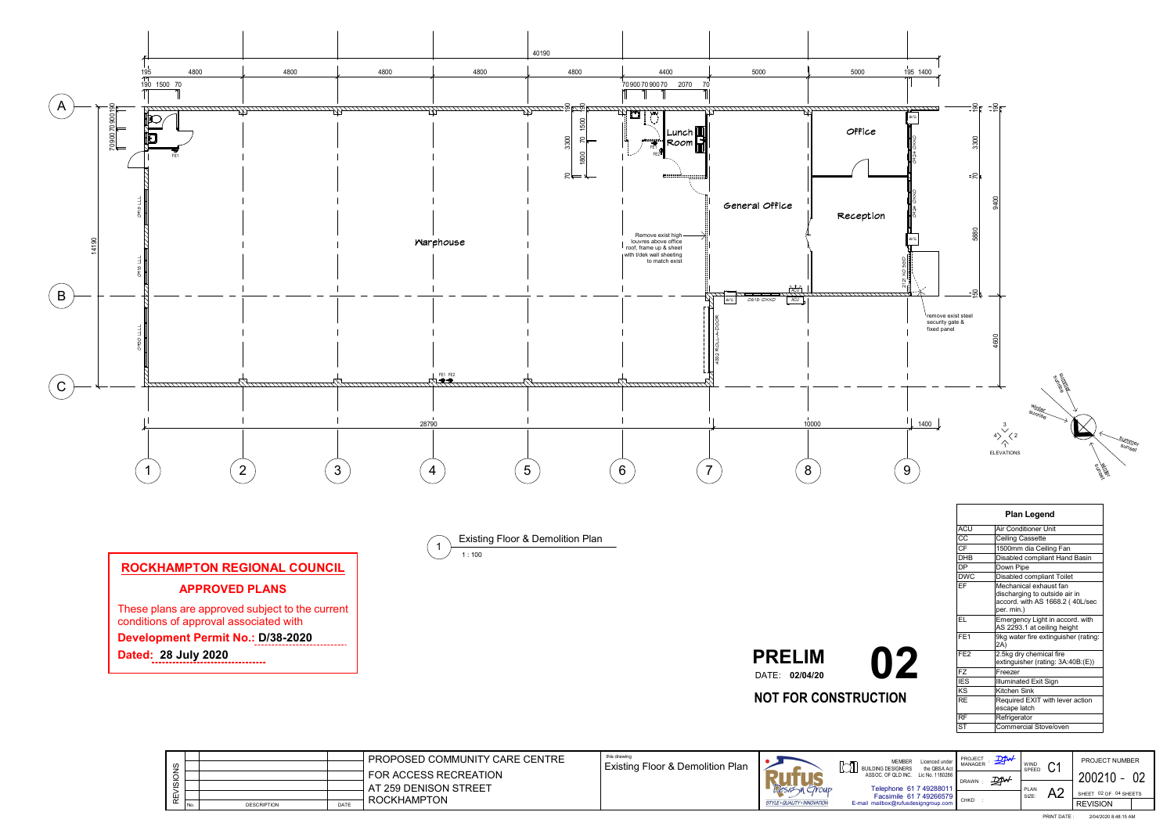



|                       |       |                    |             | <b>PROPOSED COMMUNITY CARE CENTRE</b> | this drawing |
|-----------------------|-------|--------------------|-------------|---------------------------------------|--------------|
| ഗ                     |       |                    |             |                                       | Existir      |
|                       |       |                    |             | <b>FOR ACCESS RECREATION</b>          |              |
|                       |       |                    |             |                                       |              |
| S                     |       |                    |             | AT 259 DENISON STREET                 |              |
| ш                     |       |                    |             |                                       |              |
| $\tilde{\phantom{a}}$ | ' No. | <b>DESCRIPTION</b> | <b>DATE</b> | <b>ROCKHAMPTON</b>                    |              |

**Dated: 28 July 2020**. . . . . . .

1 : 100 Existing Floor & Demolition Plan 1

| <b>Plan Legend</b> |                                                                                                          |  |  |  |  |  |  |
|--------------------|----------------------------------------------------------------------------------------------------------|--|--|--|--|--|--|
| <b>ACU</b>         | Air Conditioner Unit                                                                                     |  |  |  |  |  |  |
| CC                 | <b>Ceiling Cassette</b>                                                                                  |  |  |  |  |  |  |
| <b>CF</b>          | 1500mm dia Ceiling Fan                                                                                   |  |  |  |  |  |  |
| <b>DHB</b>         | Disabled compliant Hand Basin                                                                            |  |  |  |  |  |  |
| <b>DP</b>          | Down Pipe                                                                                                |  |  |  |  |  |  |
| <b>DWC</b>         | <b>Disabled compliant Toilet</b>                                                                         |  |  |  |  |  |  |
| EF                 | Mechanical exhaust fan<br>discharging to outside air in<br>accord. with AS 1668.2 (40L/sec<br>per. min.) |  |  |  |  |  |  |
| FL.                | Emergency Light in accord. with<br>AS 2293.1 at ceiling height                                           |  |  |  |  |  |  |
| FE <sub>1</sub>    | 9kg water fire extinguisher (rating:<br>2A)                                                              |  |  |  |  |  |  |
| FE <sub>2</sub>    | 2.5kg dry chemical fire<br>extinguisher (rating: 3A:40B:(E))                                             |  |  |  |  |  |  |
| <b>FZ</b>          | Freezer                                                                                                  |  |  |  |  |  |  |
| <b>IES</b>         | <b>Illuminated Exit Sign</b>                                                                             |  |  |  |  |  |  |
| KS                 | <b>Kitchen Sink</b>                                                                                      |  |  |  |  |  |  |
| <b>RF</b>          | Required EXIT with lever action<br>escape latch                                                          |  |  |  |  |  |  |
| <b>RF</b>          | Refrigerator                                                                                             |  |  |  |  |  |  |
| <b>ST</b>          | <b>Commercial Stove/oven</b>                                                                             |  |  |  |  |  |  |

| <b>PRELIM</b>  |
|----------------|
| DATE: 02/04/20 |

**NOT FOR CONSTRUCTION**

DATE: **02/04/20 02**

# **ROCKHAMPTON REGIONAL COUNCIL APPROVED PLANS**

These plans are approved subject to the current conditions of approval associated with

## **Development Permit No.: D/38-2020**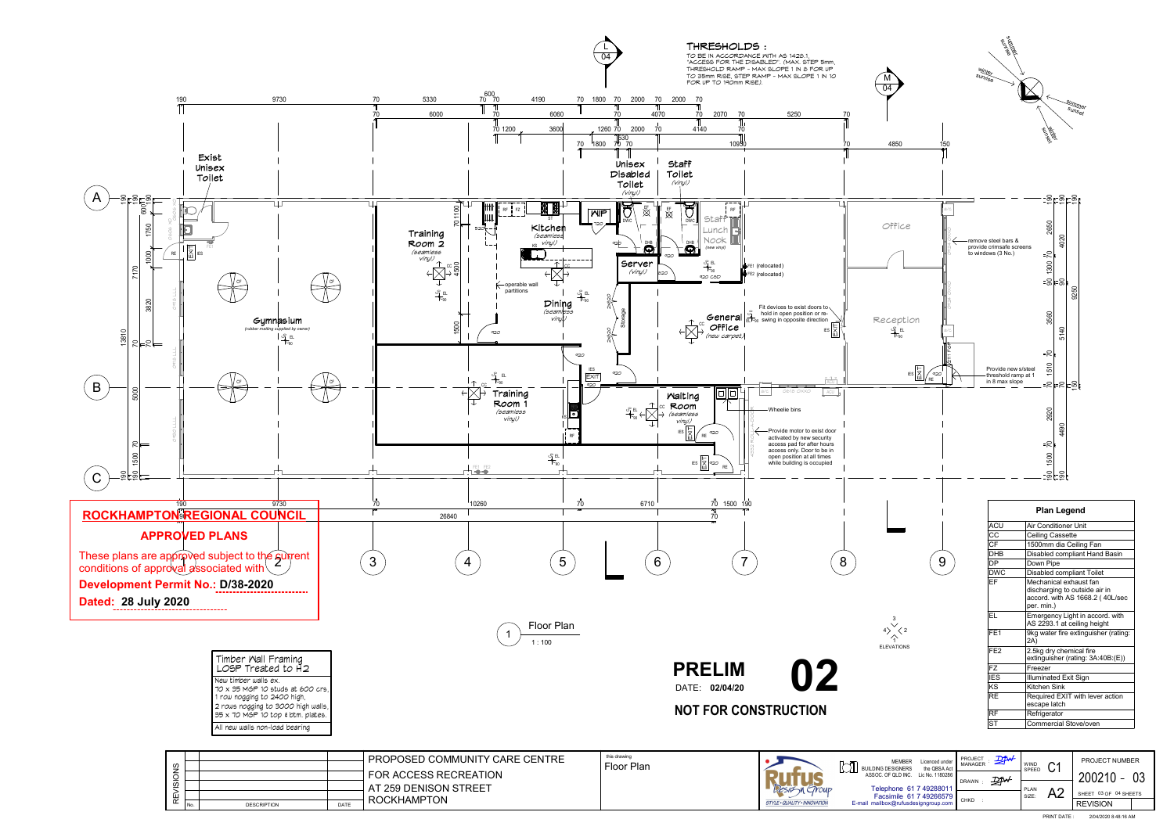Telephone 61 7 4928801 Facsimile 61 7 49266579 DRAWN :  $\mathcal{D}$ 

SHEET 03 OF 04 SHEETS

<span id="page-2-0"></span>

CHKD :

PLAN SIZE:

A2

E-mail mailbox@rufusdesigngroup.com

**STYLE · QUALITY · INNOVATIO** 



| ഗ<br>ഗ   |       |                    |             | <b>PROPOSED COMMUNITY CARE CENTRE</b><br>I FOR ACCESS RECREATION<br>AT 259 DENISON STREET | this drawin<br>Floor |
|----------|-------|--------------------|-------------|-------------------------------------------------------------------------------------------|----------------------|
| $\alpha$ | I No. | <b>DESCRIPTION</b> | <b>DATE</b> | <b>ROCKHAMPTON</b>                                                                        |                      |

200210 03